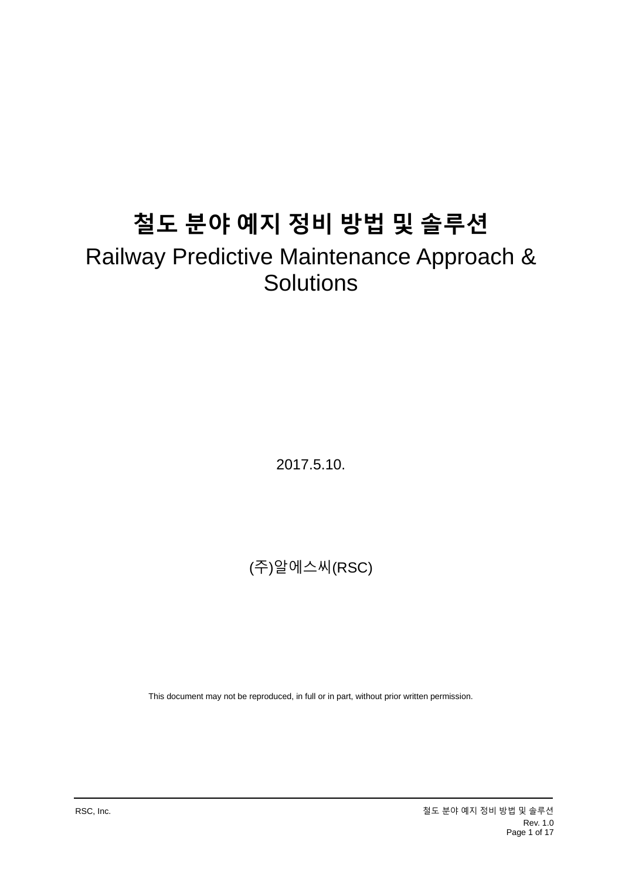# **철도 분야 예지 정비 방법 및 솔루션**

# Railway Predictive Maintenance Approach & **Solutions**

2017.5.10.

(주)알에스씨(RSC)

This document may not be reproduced, in full or in part, without prior written permission.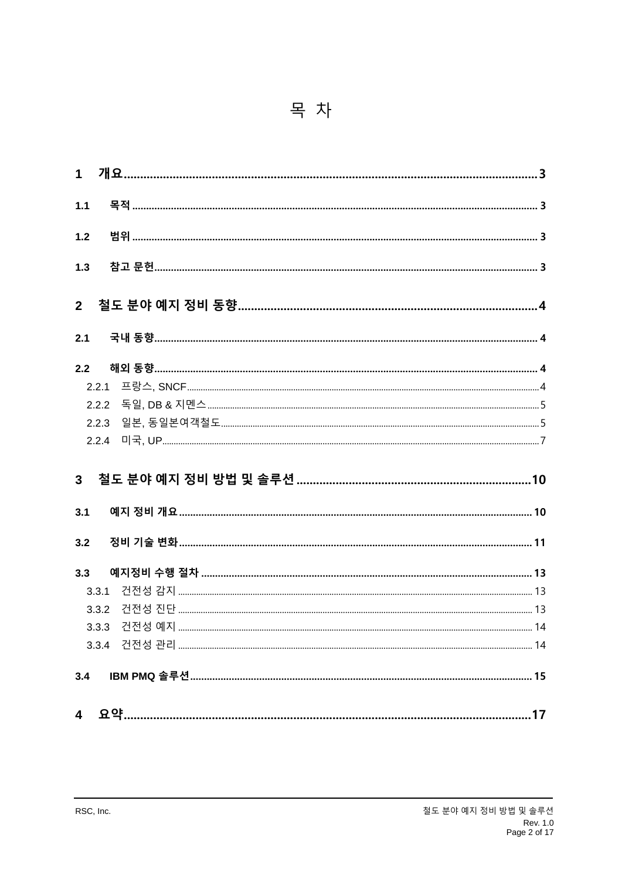|--|--|

| 1.1   |       |  |
|-------|-------|--|
| 1.2   |       |  |
| $1.3$ |       |  |
|       |       |  |
| 2.1   |       |  |
| 2.2   |       |  |
|       | 2.2.1 |  |
|       | 2.2.2 |  |
|       | 2.2.3 |  |
|       | 2.2.4 |  |
|       |       |  |
|       |       |  |
| 3.1   |       |  |
| 3.2   |       |  |
| 3.3   |       |  |
|       | 3.3.1 |  |
|       | 3.3.2 |  |
|       |       |  |
|       |       |  |
| 3.4   |       |  |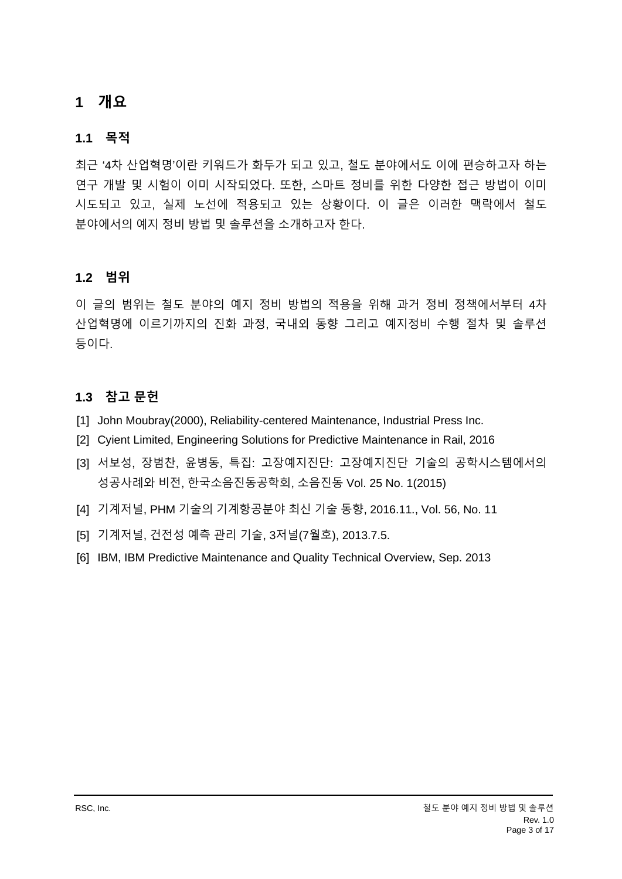## <span id="page-2-0"></span>**1 개요**

#### <span id="page-2-1"></span>**1.1 목적**

최근 '4차 산업혁명'이란 키워드가 화두가 되고 있고, 철도 분야에서도 이에 편승하고자 하는 연구 개발 및 시험이 이미 시작되었다. 또한, 스마트 정비를 위한 다양한 접근 방법이 이미 시도되고 있고, 실제 노선에 적용되고 있는 상황이다. 이 글은 이러한 맥락에서 철도 분야에서의 예지 정비 방법 및 솔루션을 소개하고자 한다.

#### <span id="page-2-2"></span>**1.2 범위**

이 글의 범위는 철도 분야의 예지 정비 방법의 적용을 위해 과거 정비 정책에서부터 4차 산업혁명에 이르기까지의 진화 과정, 국내외 동향 그리고 예지정비 수행 절차 및 솔루션 등이다.

#### <span id="page-2-3"></span>**1.3 참고 문헌**

- [1] John Moubray(2000), Reliability-centered Maintenance, Industrial Press Inc.
- [2] Cyient Limited, Engineering Solutions for Predictive Maintenance in Rail, 2016
- [3] 서보성, 장범찬, 윤병동, 특집: 고장예지진단: 고장예지진단 기술의 공학시스템에서의 성공사례와 비전, 한국소음진동공학회, 소음진동 Vol. 25 No. 1(2015)
- [4] 기계저널, PHM 기술의 기계항공분야 최신 기술 동향, 2016.11., Vol. 56, No. 11
- [5] 기계저널, 건전성 예측 관리 기술, 3저널(7월호), 2013.7.5.
- [6] IBM, IBM Predictive Maintenance and Quality Technical Overview, Sep. 2013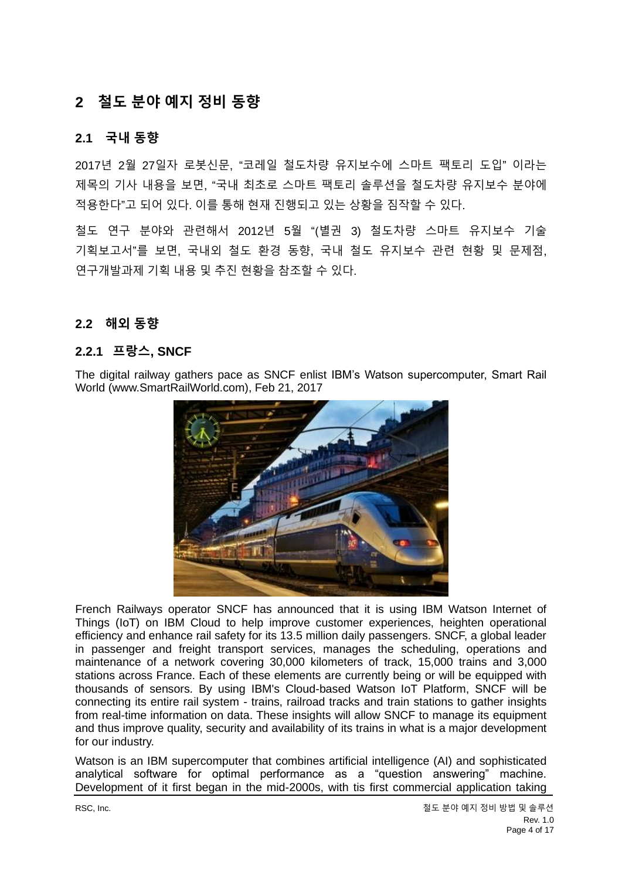# <span id="page-3-0"></span>**2 철도 분야 예지 정비 동향**

#### <span id="page-3-1"></span>**2.1 국내 동향**

2017년 2월 27일자 로봇신문, "코레일 철도차량 유지보수에 스마트 팩토리 도입" 이라는 제목의 기사 내용을 보면, "국내 최초로 스마트 팩토리 솔루션을 철도차량 유지보수 분야에 적용한다"고 되어 있다. 이를 통해 현재 진행되고 있는 상황을 짐작할 수 있다.

철도 연구 분야와 관련해서 2012년 5월 "(별권 3) 철도차량 스마트 유지보수 기술 기획보고서"를 보면, 국내외 철도 환경 동향, 국내 철도 유지보수 관련 현황 및 문제점, 연구개발과제 기획 내용 및 추진 현황을 참조할 수 있다.

#### <span id="page-3-2"></span>**2.2 해외 동향**

#### <span id="page-3-3"></span>**2.2.1 프랑스, SNCF**

The digital railway gathers pace as SNCF enlist IBM's Watson supercomputer, Smart Rail World (www.SmartRailWorld.com), Feb 21, 2017



French Railways operator SNCF has announced that it is using IBM Watson Internet of Things (IoT) on IBM Cloud to help improve customer experiences, heighten operational efficiency and enhance rail safety for its 13.5 million daily passengers. SNCF, a global leader in passenger and freight transport services, manages the scheduling, operations and maintenance of a network covering 30,000 kilometers of track, 15,000 trains and 3,000 stations across France. Each of these elements are currently being or will be equipped with thousands of sensors. By using IBM's Cloud-based Watson IoT Platform, SNCF will be connecting its entire rail system - trains, railroad tracks and train stations to gather insights from real-time information on data. These insights will allow SNCF to manage its equipment and thus improve quality, security and availability of its trains in what is a major development for our industry.

Watson is an IBM supercomputer that combines artificial intelligence (AI) and sophisticated analytical software for optimal performance as a "question answering" machine. Development of it first began in the mid-2000s, with tis first commercial application taking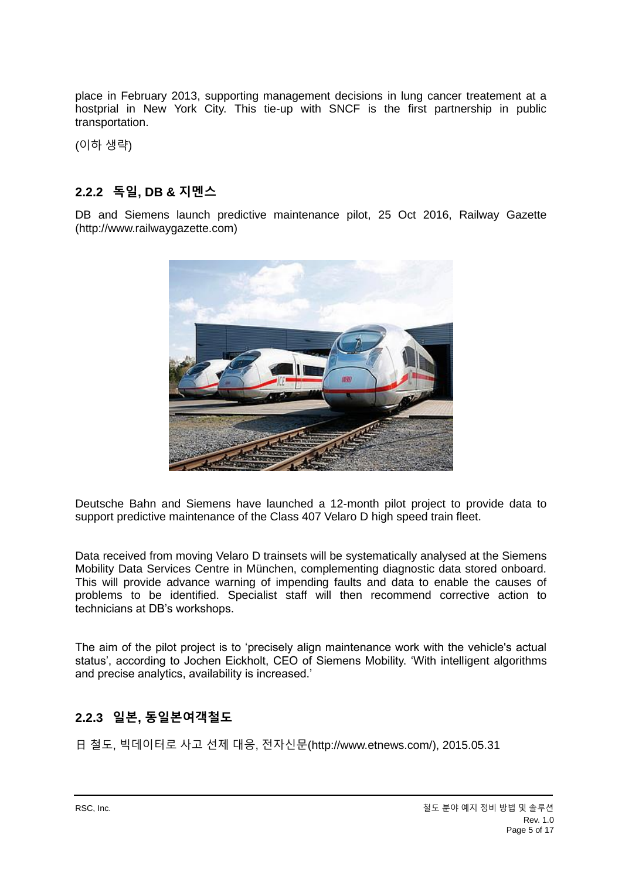place in February 2013, supporting management decisions in lung cancer treatement at a hostprial in New York City. This tie-up with SNCF is the first partnership in public transportation.

(이하 생략)

### <span id="page-4-0"></span>**2.2.2 독일, DB & 지멘스**

DB and Siemens launch predictive maintenance pilot, 25 Oct 2016, Railway Gazette (http://www.railwaygazette.com)



Deutsche Bahn and Siemens have launched a 12-month pilot project to provide data to support predictive maintenance of the Class 407 Velaro D high speed train fleet.

Data received from moving Velaro D trainsets will be systematically analysed at the Siemens Mobility Data Services Centre in München, complementing diagnostic data stored onboard. This will provide advance warning of impending faults and data to enable the causes of problems to be identified. Specialist staff will then recommend corrective action to technicians at DB's workshops.

The aim of the pilot project is to 'precisely align maintenance work with the vehicle's actual status', according to Jochen Eickholt, CEO of Siemens Mobility. 'With intelligent algorithms and precise analytics, availability is increased.'

#### <span id="page-4-1"></span>**2.2.3 일본, 동일본여객철도**

日 철도, 빅데이터로 사고 선제 대응, 전자신문(http://www.etnews.com/), 2015.05.31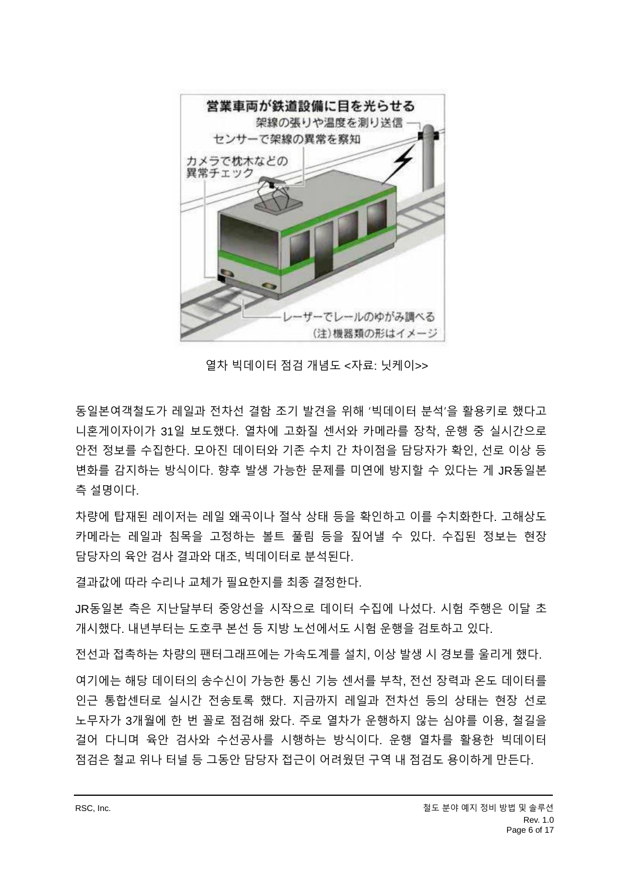

열차 빅데이터 점검 개념도 <자료: 닛케이>>

동일본여객철도가 레일과 전차선 결함 조기 발견을 위해 '빅데이터 분석'을 활용키로 했다고 니혼게이자이가 31일 보도했다. 열차에 고화질 센서와 카메라를 장착, 운행 중 실시간으로 안전 정보를 수집한다. 모아진 데이터와 기존 수치 간 차이점을 담당자가 확인, 선로 이상 등 변화를 감지하는 방식이다. 향후 발생 가능한 문제를 미연에 방지할 수 있다는 게 JR동일본 측 설명이다.

차량에 탑재된 레이저는 레일 왜곡이나 절삭 상태 등을 확인하고 이를 수치화한다. 고해상도 카메라는 레일과 침목을 고정하는 볼트 풀림 등을 짚어낼 수 있다. 수집된 정보는 현장 담당자의 육안 검사 결과와 대조, 빅데이터로 분석된다.

결과값에 따라 수리나 교체가 필요한지를 최종 결정한다.

JR동일본 측은 지난달부터 중앙선을 시작으로 데이터 수집에 나섰다. 시험 주행은 이달 초 개시했다. 내년부터는 도호쿠 본선 등 지방 노선에서도 시험 운행을 검토하고 있다.

전선과 접촉하는 차량의 팬터그래프에는 가속도계를 설치, 이상 발생 시 경보를 울리게 했다.

여기에는 해당 데이터의 송수신이 가능한 통신 기능 센서를 부착, 전선 장력과 온도 데이터를 인근 통합센터로 실시간 전송토록 했다. 지금까지 레일과 전차선 등의 상태는 현장 선로 노무자가 3개월에 한 번 꼴로 점검해 왔다. 주로 열차가 운행하지 않는 심야를 이용, 철길을 걸어 다니며 육안 검사와 수선공사를 시행하는 방식이다. 운행 열차를 활용한 빅데이터 점검은 철교 위나 터널 등 그동안 담당자 접근이 어려웠던 구역 내 점검도 용이하게 만든다.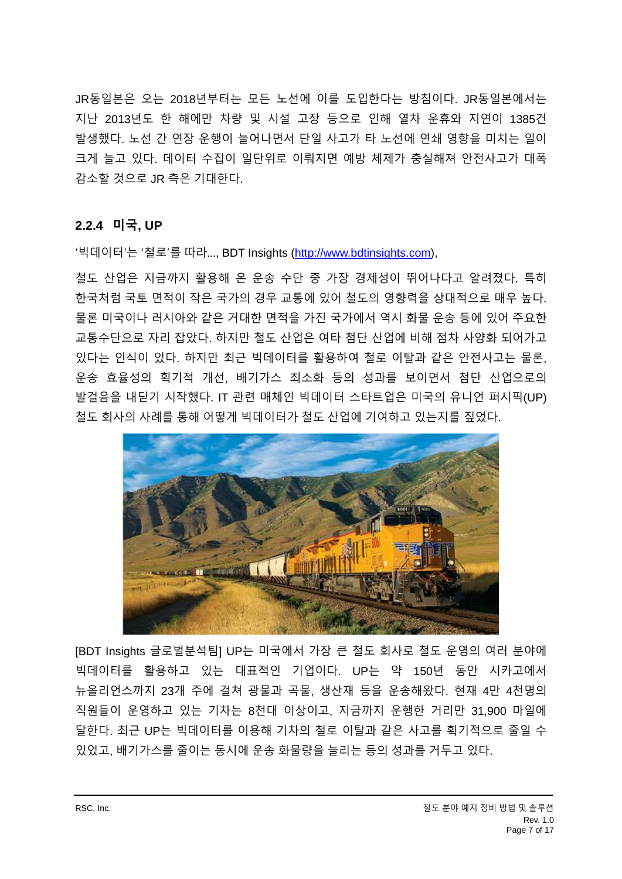JR동일본은 오는 2018년부터는 모든 노선에 이를 도입한다는 방침이다. JR동일본에서는 지난 2013년도 한 해에만 차량 및 시설 고장 등으로 인해 열차 운휴와 지연이 1385건 발생했다. 노선 간 연장 운행이 늘어나면서 단일 사고가 타 노선에 연쇄 영향을 미치는 일이 크게 늘고 있다. 데이터 수집이 일단위로 이뤄지면 예방 체제가 충실해져 안전사고가 대폭 감소할 것으로 JR 측은 기대한다.

#### <span id="page-6-0"></span>**2.2.4 미국, UP**

'빅데이터'는 '철로'를 따라…, BDT Insights [\(http://www.bdtinsights.com\)](http://www.bdtinsights.com/),

철도 산업은 지금까지 활용해 온 운송 수단 중 가장 경제성이 뛰어나다고 알려졌다. 특히 한국처럼 국토 면적이 작은 국가의 경우 교통에 있어 철도의 영향력을 상대적으로 매우 높다. 물론 미국이나 러시아와 같은 거대한 면적을 가진 국가에서 역시 화물 운송 등에 있어 주요한 교통수단으로 자리 잡았다. 하지만 철도 산업은 여타 첨단 산업에 비해 점차 사양화 되어가고 있다는 인식이 있다. 하지만 최근 빅데이터를 활용하여 철로 이탈과 같은 안전사고는 물론, 운송 효율성의 획기적 개선, 배기가스 최소화 등의 성과를 보이면서 첨단 산업으로의 발걸음을 내딛기 시작했다. IT 관련 매체인 빅데이터 스타트업은 미국의 유니언 퍼시픽(UP) 철도 회사의 사례를 통해 어떻게 빅데이터가 철도 산업에 기여하고 있는지를 짚었다.



[BDT Insights 글로벌분석팀] UP는 미국에서 가장 큰 철도 회사로 철도 운영의 여러 분야에 빅데이터를 활용하고 있는 대표적인 기업이다. UP는 약 150년 동안 시카고에서 뉴올리언스까지 23개 주에 걸쳐 광물과 곡물, 생산재 등을 운송해왔다. 현재 4만 4천명의 직원들이 운영하고 있는 기차는 8천대 이상이고, 지금까지 운행한 거리만 31,900 마일에 달한다. 최근 UP는 빅데이터를 이용해 기차의 철로 이탈과 같은 사고를 획기적으로 줄일 수 있었고, 배기가스를 줄이는 동시에 운송 화물량을 늘리는 등의 성과를 거두고 있다.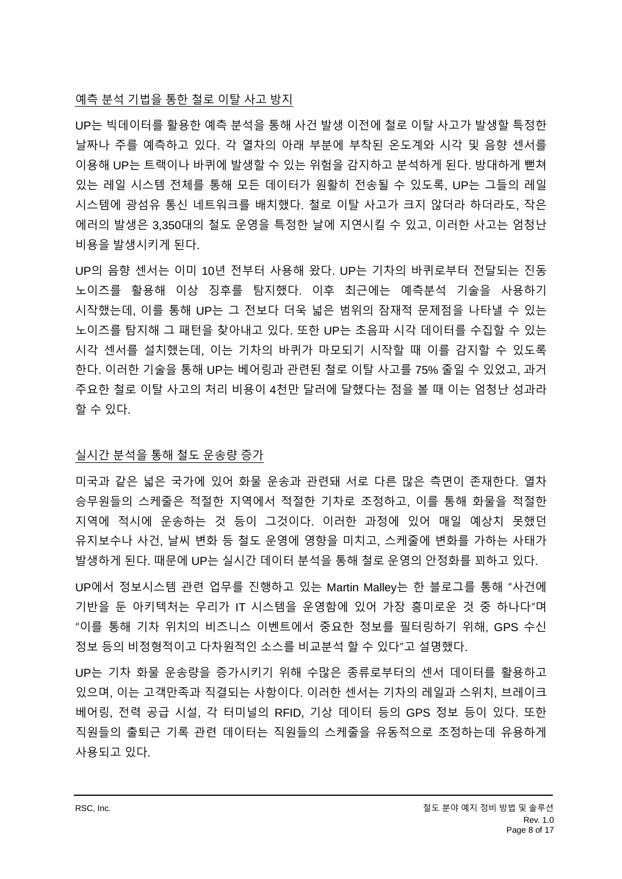#### 예측 분석 기법을 통한 철로 이탈 사고 방지

UP는 빅데이터를 활용한 예측 분석을 통해 사건 발생 이전에 철로 이탈 사고가 발생할 특정한 날짜나 주를 예측하고 있다. 각 열차의 아래 부분에 부착된 온도계와 시각 및 음향 센서를 이용해 UP는 트랙이나 바퀴에 발생할 수 있는 위험을 감지하고 분석하게 된다. 방대하게 뻗쳐 있는 레일 시스템 전체를 통해 모든 데이터가 원활히 전송될 수 있도록, UP는 그들의 레일 시스템에 광섬유 통신 네트워크를 배치했다. 철로 이탈 사고가 크지 않더라 하더라도, 작은 에러의 발생은 3,350대의 철도 운영을 특정한 날에 지연시킬 수 있고, 이러한 사고는 엄청난 비용을 발생시키게 된다.

UP의 음향 센서는 이미 10년 전부터 사용해 왔다. UP는 기차의 바퀴로부터 전달되는 진동 노이즈를 활용해 이상 징후를 탐지했다. 이후 최근에는 예측분석 기술을 사용하기 시작했는데, 이를 통해 UP는 그 전보다 더욱 넓은 범위의 잠재적 문제점을 나타낼 수 있는 노이즈를 탐지해 그 패턴을 찾아내고 있다. 또한 UP는 초음파 시각 데이터를 수집할 수 있는 시각 센서를 설치했는데, 이는 기차의 바퀴가 마모되기 시작할 때 이를 감지할 수 있도록 한다. 이러한 기술을 통해 UP는 베어링과 관련된 철로 이탈 사고를 75% 줄일 수 있었고, 과거 주요한 철로 이탈 사고의 처리 비용이 4천만 달러에 달했다는 점을 볼 때 이는 엄청난 성과라 할 수 있다.

#### 실시간 분석을 통해 철도 운송량 증가

미국과 같은 넓은 국가에 있어 화물 운송과 관련돼 서로 다른 많은 측면이 존재한다. 열차 승무원들의 스케줄은 적절한 지역에서 적절한 기차로 조정하고, 이를 통해 화물을 적절한 지역에 적시에 운송하는 것 등이 그것이다. 이러한 과정에 있어 매일 예상치 못했던 유지보수나 사건, 날씨 변화 등 철도 운영에 영향을 미치고, 스케줄에 변화를 가하는 사태가 발생하게 된다. 때문에 UP는 실시간 데이터 분석을 통해 철로 운영의 안정화를 꾀하고 있다.

UP에서 정보시스템 관련 업무를 진행하고 있는 Martin Malley는 한 블로그를 통해 "사건에 기반을 둔 아키텍처는 우리가 IT 시스템을 운영함에 있어 가장 흥미로운 것 중 하나다"며 "이를 통해 기차 위치의 비즈니스 이벤트에서 중요한 정보를 필터링하기 위해, GPS 수신 정보 등의 비정형적이고 다차원적인 소스를 비교분석 할 수 있다"고 설명했다.

UP는 기차 화물 운송량을 증가시키기 위해 수많은 종류로부터의 센서 데이터를 활용하고 있으며, 이는 고객만족과 직결되는 사항이다. 이러한 센서는 기차의 레일과 스위치, 브레이크 베어링, 전력 공급 시설, 각 터미널의 RFID, 기상 데이터 등의 GPS 정보 등이 있다. 또한 직원들의 출퇴근 기록 관련 데이터는 직원들의 스케줄을 유동적으로 조정하는데 유용하게 사용되고 있다.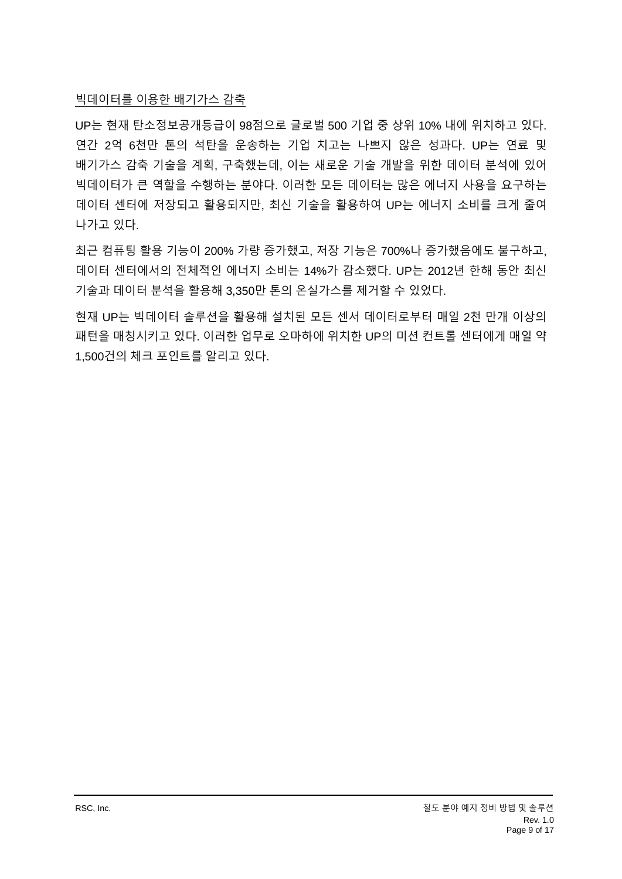#### 빅데이터를 이용한 배기가스 감축

UP는 현재 탄소정보공개등급이 98점으로 글로벌 500 기업 중 상위 10% 내에 위치하고 있다. 연간 2억 6천만 톤의 석탄을 운송하는 기업 치고는 나쁘지 않은 성과다. UP는 연료 및 배기가스 감축 기술을 계획, 구축했는데, 이는 새로운 기술 개발을 위한 데이터 분석에 있어 빅데이터가 큰 역할을 수행하는 분야다. 이러한 모든 데이터는 많은 에너지 사용을 요구하는 데이터 센터에 저장되고 활용되지만, 최신 기술을 활용하여 UP는 에너지 소비를 크게 줄여 나가고 있다.

최근 컴퓨팅 활용 기능이 200% 가량 증가했고, 저장 기능은 700%나 증가했음에도 불구하고, 데이터 센터에서의 전체적인 에너지 소비는 14%가 감소했다. UP는 2012년 한해 동안 최신 기술과 데이터 분석을 활용해 3,350만 톤의 온실가스를 제거할 수 있었다.

현재 UP는 빅데이터 솔루션을 활용해 설치된 모든 센서 데이터로부터 매일 2천 만개 이상의 패턴을 매칭시키고 있다. 이러한 업무로 오마하에 위치한 UP의 미션 컨트롤 센터에게 매일 약 1,500건의 체크 포인트를 알리고 있다.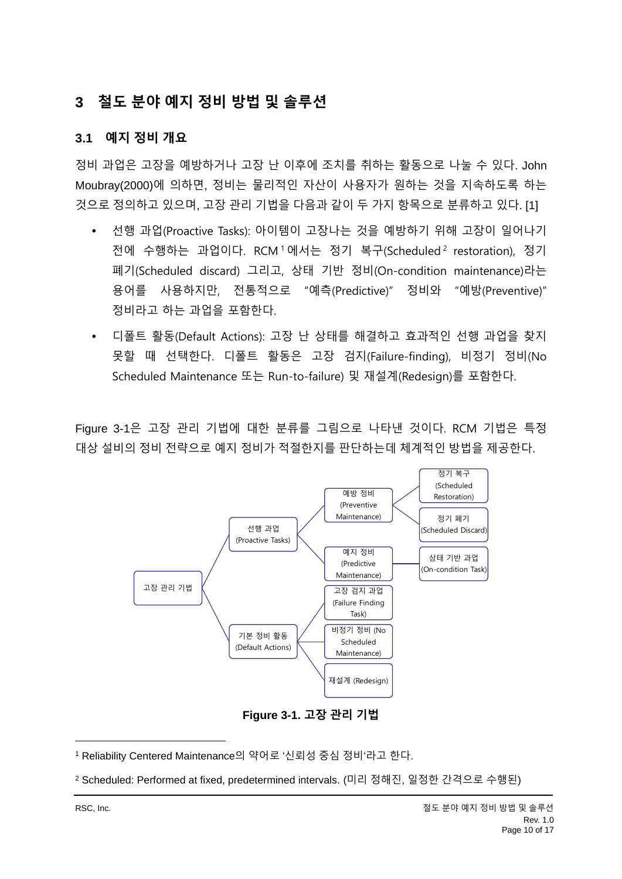# <span id="page-9-0"></span>**3 철도 분야 예지 정비 방법 및 솔루션**

#### <span id="page-9-1"></span>**3.1 예지 정비 개요**

정비 과업은 고장을 예방하거나 고장 난 이후에 조치를 취하는 활동으로 나눌 수 있다. John Moubray(2000)에 의하면, 정비는 물리적인 자산이 사용자가 원하는 것을 지속하도록 하는 것으로 정의하고 있으며, 고장 관리 기법을 다음과 같이 두 가지 항목으로 분류하고 있다. [1]

- 선행 과업(Proactive Tasks): 아이템이 고장나는 것을 예방하기 위해 고장이 일어나기 전에 수행하는 과업이다. RCM1에서는 정기 복구(Scheduled<sup>2</sup> restoration), 정기 폐기(Scheduled discard) 그리고, 상태 기반 정비(On-condition maintenance)라는 용어를 사용하지만, 전통적으로 "예측(Predictive)" 정비와 "예방(Preventive)" 정비라고 하는 과업을 포함한다.
- 디폴트 활동(Default Actions): 고장 난 상태를 해결하고 효과적인 선행 과업을 찾지 못할 때 선택한다. 디폴트 활동은 고장 검지(Failure-finding), 비정기 정비(No Scheduled Maintenance 또는 Run-to-failure) 및 재설계(Redesign)를 포함한다.

[Figure 3-1](#page-9-2)은 고장 관리 기법에 대한 분류를 그림으로 나타낸 것이다. RCM 기법은 특정 대상 설비의 정비 전략으로 예지 정비가 적절한지를 판단하는데 체계적인 방법을 제공한다.



**Figure 3-1. 고장 관리 기법**

<span id="page-9-2"></span><sup>1</sup> Reliability Centered Maintenance의 약어로 '신뢰성 중심 정비'라고 한다.

<sup>2</sup> Scheduled: Performed at fixed, predetermined intervals. (미리 정해진, 일정한 간격으로 수행된)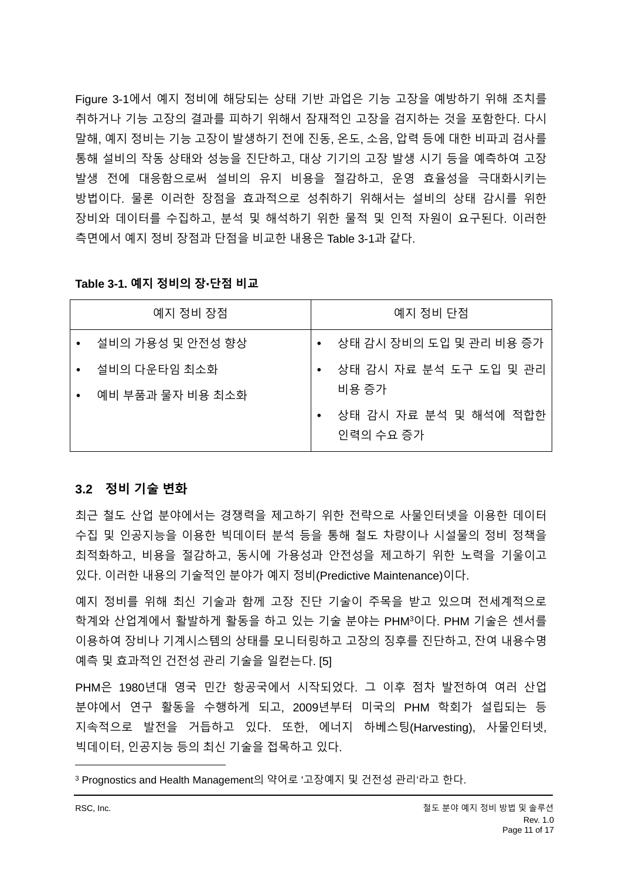[Figure 3-1](#page-9-2)에서 예지 정비에 해당되는 상태 기반 과업은 기능 고장을 예방하기 위해 조치를 취하거나 기능 고장의 결과를 피하기 위해서 잠재적인 고장을 검지하는 것을 포함한다. 다시 말해, 예지 정비는 기능 고장이 발생하기 전에 진동, 온도, 소음, 압력 등에 대한 비파괴 검사를 통해 설비의 작동 상태와 성능을 진단하고, 대상 기기의 고장 발생 시기 등을 예측하여 고장 발생 전에 대응함으로써 설비의 유지 비용을 절감하고, 운영 효율성을 극대화시키는 방법이다. 물론 이러한 장점을 효과적으로 성취하기 위해서는 설비의 상태 감시를 위한 장비와 데이터를 수집하고, 분석 및 해석하기 위한 물적 및 인적 자원이 요구된다. 이러한 측면에서 예지 정비 장점과 단점을 비교한 내용은 [Table 3-1](#page-10-1)과 같다.

|           | 예지 정비 장점         | 예지 정비 단점                           |
|-----------|------------------|------------------------------------|
|           | 설비의 가용성 및 안전성 향상 | • 상태 감시 장비의 도입 및 관리 비용 증가          |
|           | 설비의 다운타임 최소화     | 상태 감시 자료 분석 도구 도입 및 관리             |
| $\bullet$ | 예비 부품과 물자 비용 최소화 | 비용 증가                              |
|           |                  | 상태 감시 자료 분석 및 해석에 적합한<br>인력의 수요 증가 |

#### <span id="page-10-1"></span>**Table 3-1. 예지 정비의 장단점 비교**

#### <span id="page-10-0"></span>**3.2 정비 기술 변화**

최근 철도 산업 분야에서는 경쟁력을 제고하기 위한 전략으로 사물인터넷을 이용한 데이터 수집 및 인공지능을 이용한 빅데이터 분석 등을 통해 철도 차량이나 시설물의 정비 정책을 최적화하고, 비용을 절감하고, 동시에 가용성과 안전성을 제고하기 위한 노력을 기울이고 있다. 이러한 내용의 기술적인 분야가 예지 정비(Predictive Maintenance)이다.

예지 정비를 위해 최신 기술과 함께 고장 진단 기술이 주목을 받고 있으며 전세계적으로 학계와 산업계에서 활발하게 활동을 하고 있는 기술 분야는 PHM<sup>3</sup>이다. PHM 기술은 센서를 이용하여 장비나 기계시스템의 상태를 모니터링하고 고장의 징후를 진단하고, 잔여 내용수명 예측 및 효과적인 건전성 관리 기술을 일컫는다. [5]

PHM은 1980년대 영국 민간 항공국에서 시작되었다. 그 이후 점차 발전하여 여러 산업 분야에서 연구 활동을 수행하게 되고, 2009년부터 미국의 PHM 학회가 설립되는 등 지속적으로 발전을 거듭하고 있다. 또한, 에너지 하베스팅(Harvesting), 사물인터넷, 빅데이터, 인공지능 등의 최신 기술을 접목하고 있다.

<sup>3</sup> Prognostics and Health Management의 약어로 '고장예지 및 건전성 관리'라고 한다.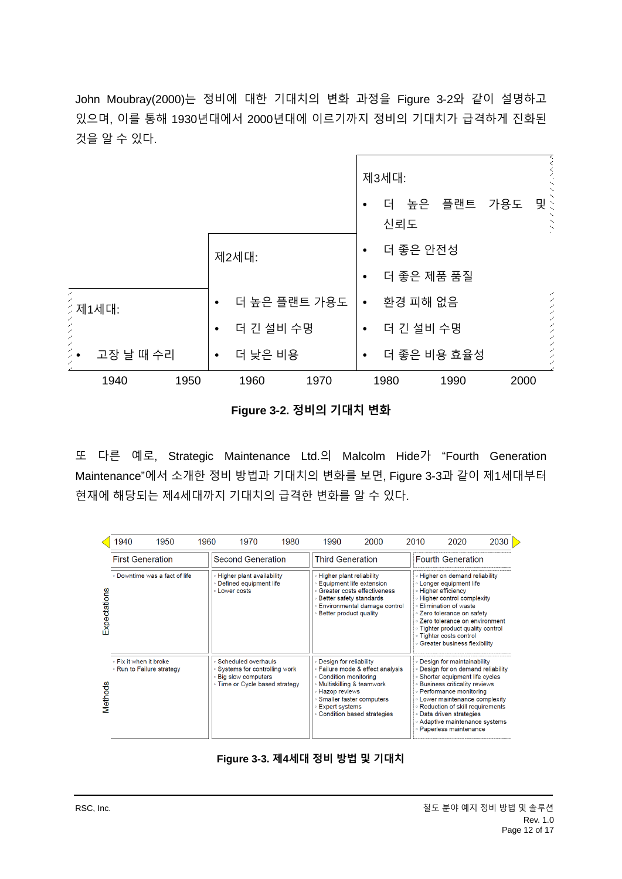John Moubray(2000)는 정비에 대한 기대치의 변화 과정을 [Figure 3-2](#page-11-0)와 같이 설명하고 있으며, 이를 통해 1930년대에서 2000년대에 이르기까지 정비의 기대치가 급격하게 진화된 것을 알 수 있다.

|                     |               | 제3세대:                                   |  |  |  |  |  |  |
|---------------------|---------------|-----------------------------------------|--|--|--|--|--|--|
|                     |               | 가용도<br>맞는<br>더 높은 플랜트<br>٠<br>신뢰도       |  |  |  |  |  |  |
|                     | <u> 제2세대:</u> | 더 좋은 안전성<br>$\bullet$                   |  |  |  |  |  |  |
|                     |               | 더 좋은 제품 품질<br>٠                         |  |  |  |  |  |  |
| L<br><i>≶</i> 제1세대: | 더 높은 플랜트 가용도  | アンシンシン アンシンディー<br>환경 피해 없음<br>$\bullet$ |  |  |  |  |  |  |
|                     | 더 긴 설비 수명     | 더 긴 설비 수명<br>٠                          |  |  |  |  |  |  |
| 고장 날 때 수리           | 더 낮은 비용<br>٠  | 더 좋은 비용 효율성<br>٠                        |  |  |  |  |  |  |
| 1940<br>1950        | 1960<br>1970  | 1980<br>2000<br>1990                    |  |  |  |  |  |  |

**Figure 3-2. 정비의 기대치 변화**

<span id="page-11-0"></span>또 다른 예로, Strategic Maintenance Ltd.의 Malcolm Hide가 "Fourth Generation Maintenance"에서 소개한 정비 방법과 기대치의 변화를 보면, [Figure 3-3](#page-11-1)과 같이 제1세대부터 현재에 해당되는 제4세대까지 기대치의 급격한 변화를 알 수 있다.

|              | 1940                                                | 1950 | 1960                                                                                                        | 1970                                                                        | 1980                                                                                     | 1990                                                                                                                                                                     | 2000                    |  | 2010                                                                                                                                                                                                                                                                                                                                                  | 2020                     | 2030 |  |  |
|--------------|-----------------------------------------------------|------|-------------------------------------------------------------------------------------------------------------|-----------------------------------------------------------------------------|------------------------------------------------------------------------------------------|--------------------------------------------------------------------------------------------------------------------------------------------------------------------------|-------------------------|--|-------------------------------------------------------------------------------------------------------------------------------------------------------------------------------------------------------------------------------------------------------------------------------------------------------------------------------------------------------|--------------------------|------|--|--|
|              | <b>First Generation</b>                             |      |                                                                                                             | Second Generation                                                           |                                                                                          |                                                                                                                                                                          | <b>Third Generation</b> |  |                                                                                                                                                                                                                                                                                                                                                       | <b>Fourth Generation</b> |      |  |  |
| Expectations | . Downtime was a fact of life                       |      |                                                                                                             | Higher plant availability<br>∘ Defined equipment life<br><b>Lower costs</b> |                                                                                          | Higher plant reliability<br>Equipment life extension<br>Greater costs effectiveness<br>Better safety standards<br>Environmental damage control<br>Better product quality |                         |  | <b>· Higher on demand reliability</b><br><b>Longer equipment life</b><br>∘ Higher efficiency<br><b>Example Higher control complexity</b><br>∘ Elimination of waste<br>∘ Zero tolerance on safety<br>∘ Zero tolerance on environment<br>• Tighter product quality control<br>· Tighter costs control<br><b>Greater business flexibility</b>            |                          |      |  |  |
| Methods      | . Fix it when it broke<br>∘ Run to Failure strategy |      | Scheduled overhauls<br>Systems for controlling work<br>Big slow computers<br>∘ Time or Cycle based strategy |                                                                             | Design for reliability<br>Condition monitoring<br>Hazop reviews<br><b>Expert systems</b> | Failure mode & effect analysis<br>Multiskilling & teamwork<br>Smaller faster computers<br>Condition based strategies                                                     |                         |  | <b>Design for maintainability</b><br>Design for on demand reliability<br><b>Shorter equipment life cycles</b><br><b>Business criticality reviews</b><br>• Performance monitoring<br><b>Lower maintenance complexity</b><br>∘ Reduction of skill requirements<br>∘ Data driven strategies<br>• Adaptive maintenance systems<br>• Paperless maintenance |                          |      |  |  |

<span id="page-11-1"></span>**Figure 3-3. 제4세대 정비 방법 및 기대치**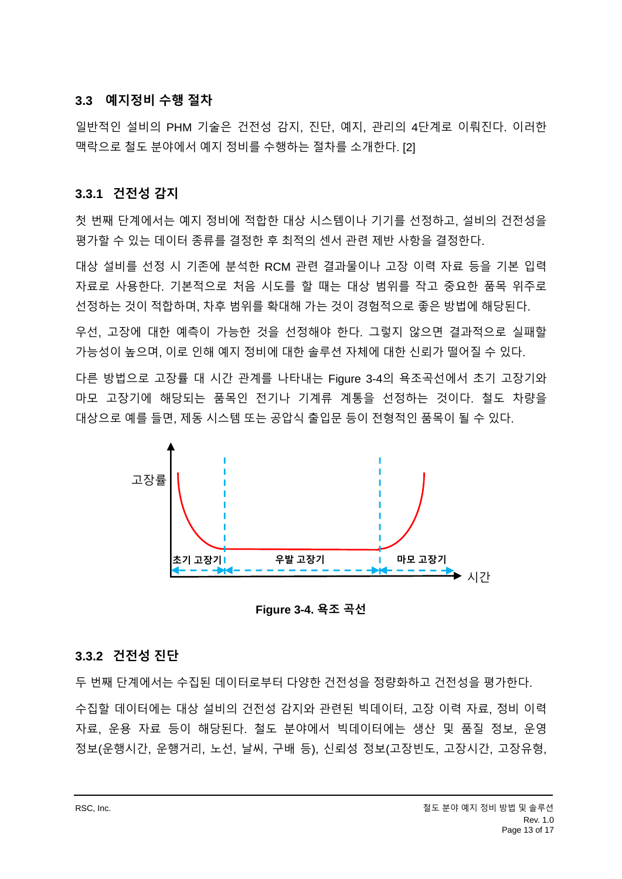#### <span id="page-12-0"></span>**3.3 예지정비 수행 절차**

일반적인 설비의 PHM 기술은 건전성 감지, 진단, 예지, 관리의 4단계로 이뤄진다. 이러한 맥락으로 철도 분야에서 예지 정비를 수행하는 절차를 소개한다. [2]

#### <span id="page-12-1"></span>**3.3.1 건전성 감지**

첫 번째 단계에서는 예지 정비에 적합한 대상 시스템이나 기기를 선정하고, 설비의 건전성을 평가할 수 있는 데이터 종류를 결정한 후 최적의 센서 관련 제반 사항을 결정한다.

대상 설비를 선정 시 기존에 분석한 RCM 관련 결과물이나 고장 이력 자료 등을 기본 입력 자료로 사용한다. 기본적으로 처음 시도를 할 때는 대상 범위를 작고 중요한 품목 위주로 선정하는 것이 적합하며, 차후 범위를 확대해 가는 것이 경험적으로 좋은 방법에 해당된다.

우선, 고장에 대한 예측이 가능한 것을 선정해야 한다. 그렇지 않으면 결과적으로 실패할 가능성이 높으며, 이로 인해 예지 정비에 대한 솔루션 자체에 대한 신뢰가 떨어질 수 있다.

다른 방법으로 고장률 대 시간 관계를 나타내는 [Figure 3-4](#page-12-3)의 욕조곡선에서 초기 고장기와 마모 고장기에 해당되는 품목인 전기나 기계류 계통을 선정하는 것이다. 철도 차량을 대상으로 예를 들면, 제동 시스템 또는 공압식 출입문 등이 전형적인 품목이 될 수 있다.



**Figure 3-4. 욕조 곡선**

#### <span id="page-12-3"></span><span id="page-12-2"></span>**3.3.2 건전성 진단**

두 번째 단계에서는 수집된 데이터로부터 다양한 건전성을 정량화하고 건전성을 평가한다. 수집할 데이터에는 대상 설비의 건전성 감지와 관련된 빅데이터, 고장 이력 자료, 정비 이력 자료, 운용 자료 등이 해당된다. 철도 분야에서 빅데이터에는 생산 및 품질 정보, 운영 정보(운행시간, 운행거리, 노선, 날씨, 구배 등), 신뢰성 정보(고장빈도, 고장시간, 고장유형,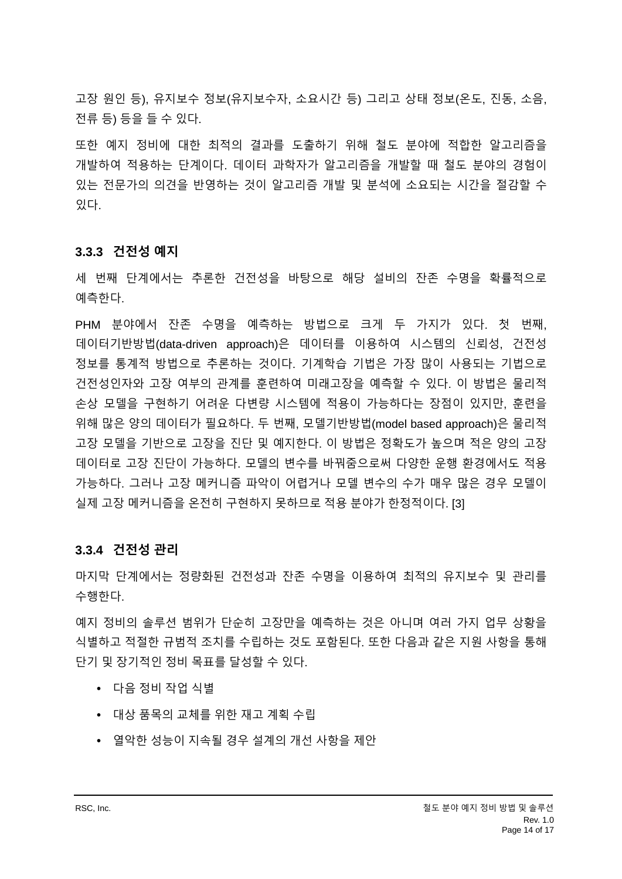고장 원인 등), 유지보수 정보(유지보수자, 소요시간 등) 그리고 상태 정보(온도, 진동, 소음, 전류 등) 등을 들 수 있다.

또한 예지 정비에 대한 최적의 결과를 도출하기 위해 철도 분야에 적합한 알고리즘을 개발하여 적용하는 단계이다. 데이터 과학자가 알고리즘을 개발할 때 철도 분야의 경험이 있는 전문가의 의견을 반영하는 것이 알고리즘 개발 및 분석에 소요되는 시간을 절감할 수 있다.

#### <span id="page-13-0"></span>**3.3.3 건전성 예지**

세 번째 단계에서는 추론한 건전성을 바탕으로 해당 설비의 잔존 수명을 확률적으로 예측한다.

PHM 분야에서 잔존 수명을 예측하는 방법으로 크게 두 가지가 있다. 첫 번째, 데이터기반방법(data-driven approach)은 데이터를 이용하여 시스템의 신뢰성, 건전성 정보를 통계적 방법으로 추론하는 것이다. 기계학습 기법은 가장 많이 사용되는 기법으로 건전성인자와 고장 여부의 관계를 훈련하여 미래고장을 예측할 수 있다. 이 방법은 물리적 손상 모델을 구현하기 어려운 다변량 시스템에 적용이 가능하다는 장점이 있지만, 훈련을 위해 많은 양의 데이터가 필요하다. 두 번째, 모델기반방법(model based approach)은 물리적 고장 모델을 기반으로 고장을 진단 및 예지한다. 이 방법은 정확도가 높으며 적은 양의 고장 데이터로 고장 진단이 가능하다. 모델의 변수를 바꿔줌으로써 다양한 운행 환경에서도 적용 가능하다. 그러나 고장 메커니즘 파악이 어렵거나 모델 변수의 수가 매우 많은 경우 모델이 실제 고장 메커니즘을 온전히 구현하지 못하므로 적용 분야가 한정적이다. [3]

#### <span id="page-13-1"></span>**3.3.4 건전성 관리**

마지막 단계에서는 정량화된 건전성과 잔존 수명을 이용하여 최적의 유지보수 및 관리를 수행한다.

예지 정비의 솔루션 범위가 단순히 고장만을 예측하는 것은 아니며 여러 가지 업무 상황을 식별하고 적절한 규범적 조치를 수립하는 것도 포함된다. 또한 다음과 같은 지원 사항을 통해 단기 및 장기적인 정비 목표를 달성할 수 있다.

- 다음 정비 작업 식별
- 대상 품목의 교체를 위한 재고 계획 수립
- 열악한 성능이 지속될 경우 설계의 개선 사항을 제안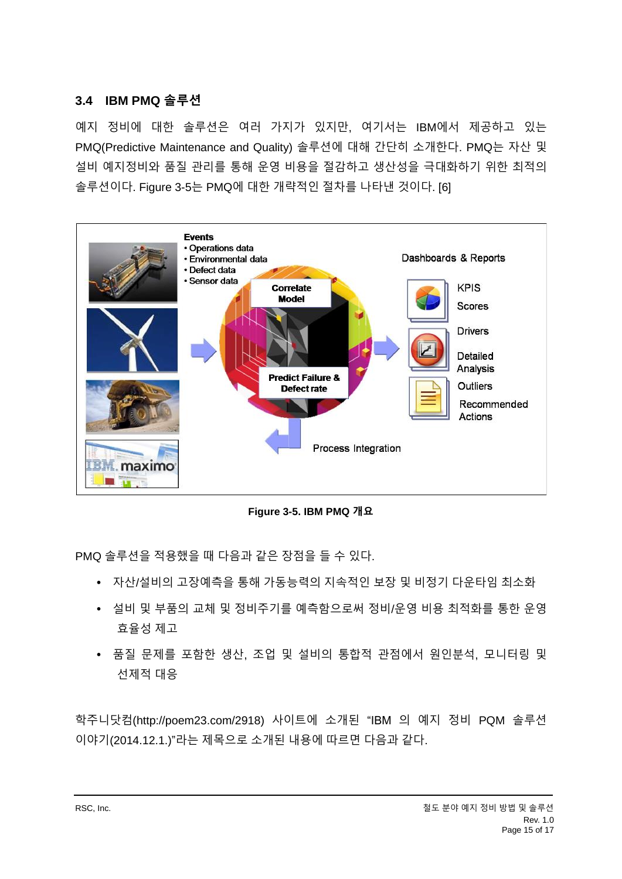#### <span id="page-14-0"></span>**3.4 IBM PMQ 솔루션**

예지 정비에 대한 솔루션은 여러 가지가 있지만, 여기서는 IBM에서 제공하고 있는 PMQ(Predictive Maintenance and Quality) 솔루션에 대해 간단히 소개한다. PMQ는 자산 및 설비 예지정비와 품질 관리를 통해 운영 비용을 절감하고 생산성을 극대화하기 위한 최적의 솔루션이다. [Figure 3-5](#page-14-1)는 PMQ에 대한 개략적인 절차를 나타낸 것이다. [6]



**Figure 3-5. IBM PMQ 개요**

<span id="page-14-1"></span>PMQ 솔루션을 적용했을 때 다음과 같은 장점을 들 수 있다.

- 자산/설비의 고장예측을 통해 가동능력의 지속적인 보장 및 비정기 다운타임 최소화
- 설비 및 부품의 교체 및 정비주기를 예측함으로써 정비/운영 비용 최적화를 통한 운영 효율성 제고
- 품질 문제를 포함한 생산, 조업 및 설비의 통합적 관점에서 원인분석, 모니터링 및 선제적 대응

학주니닷컴(http://poem23.com/2918) 사이트에 소개된 "IBM 의 예지 정비 PQM 솔루션 이야기(2014.12.1.)"라는 제목으로 소개된 내용에 따르면 다음과 같다.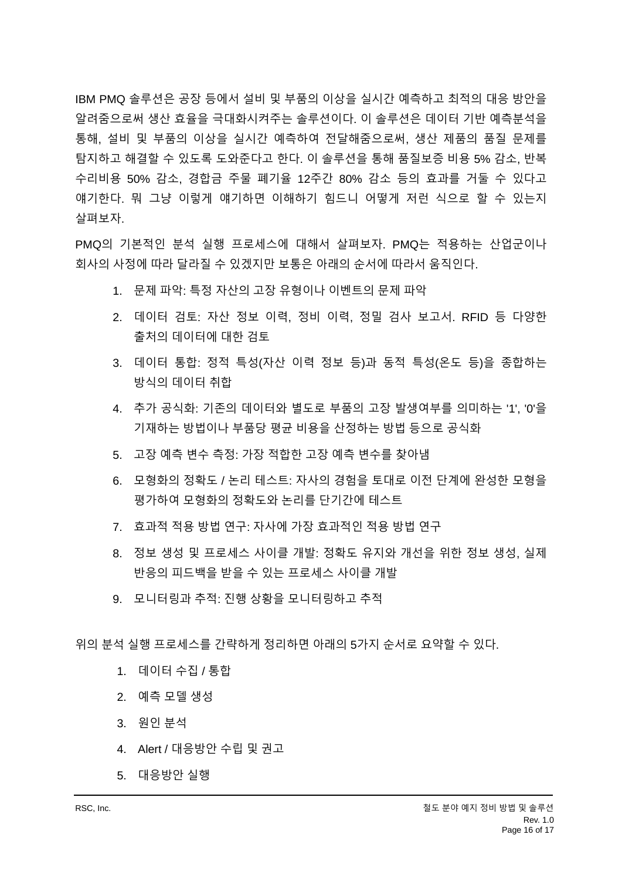IBM PMQ 솔루션은 공장 등에서 설비 및 부품의 이상을 실시간 예측하고 최적의 대응 방안을 알려줌으로써 생산 효율을 극대화시켜주는 솔루션이다. 이 솔루션은 데이터 기반 예측분석을 통해, 설비 및 부품의 이상을 실시간 예측하여 전달해줌으로써, 생산 제품의 품질 문제를 탐지하고 해결할 수 있도록 도와준다고 한다. 이 솔루션을 통해 품질보증 비용 5% 감소, 반복 수리비용 50% 감소, 경합금 주물 폐기율 12주간 80% 감소 등의 효과를 거둘 수 있다고 얘기한다. 뭐 그냥 이렇게 얘기하면 이해하기 힘드니 어떻게 저런 식으로 할 수 있는지 살펴보자.

PMQ의 기본적인 분석 실행 프로세스에 대해서 살펴보자. PMQ는 적용하는 산업군이나 회사의 사정에 따라 달라질 수 있겠지만 보통은 아래의 순서에 따라서 움직인다.

- 1. 문제 파악: 특정 자산의 고장 유형이나 이벤트의 문제 파악
- 2. 데이터 검토: 자산 정보 이력, 정비 이력, 정밀 검사 보고서. RFID 등 다양한 출처의 데이터에 대한 검토
- 3. 데이터 통합: 정적 특성(자산 이력 정보 등)과 동적 특성(온도 등)을 종합하는 방식의 데이터 취합
- 4. 추가 공식화: 기존의 데이터와 별도로 부품의 고장 발생여부를 의미하는 '1', '0'을 기재하는 방법이나 부품당 평균 비용을 산정하는 방법 등으로 공식화
- 5. 고장 예측 변수 측정: 가장 적합한 고장 예측 변수를 찾아냄
- 6. 모형화의 정확도 / 논리 테스트: 자사의 경험을 토대로 이전 단계에 완성한 모형을 평가하여 모형화의 정확도와 논리를 단기간에 테스트
- 7. 효과적 적용 방법 연구: 자사에 가장 효과적인 적용 방법 연구
- 8. 정보 생성 및 프로세스 사이클 개발: 정확도 유지와 개선을 위한 정보 생성, 실제 반응의 피드백을 받을 수 있는 프로세스 사이클 개발
- 9. 모니터링과 추적: 진행 상황을 모니터링하고 추적

위의 분석 실행 프로세스를 간략하게 정리하면 아래의 5가지 순서로 요약할 수 있다.

- 1. 데이터 수집 / 통합
- 2. 예측 모델 생성
- 3. 원인 분석
- 4. Alert / 대응방안 수립 및 권고
- 5. 대응방안 실행